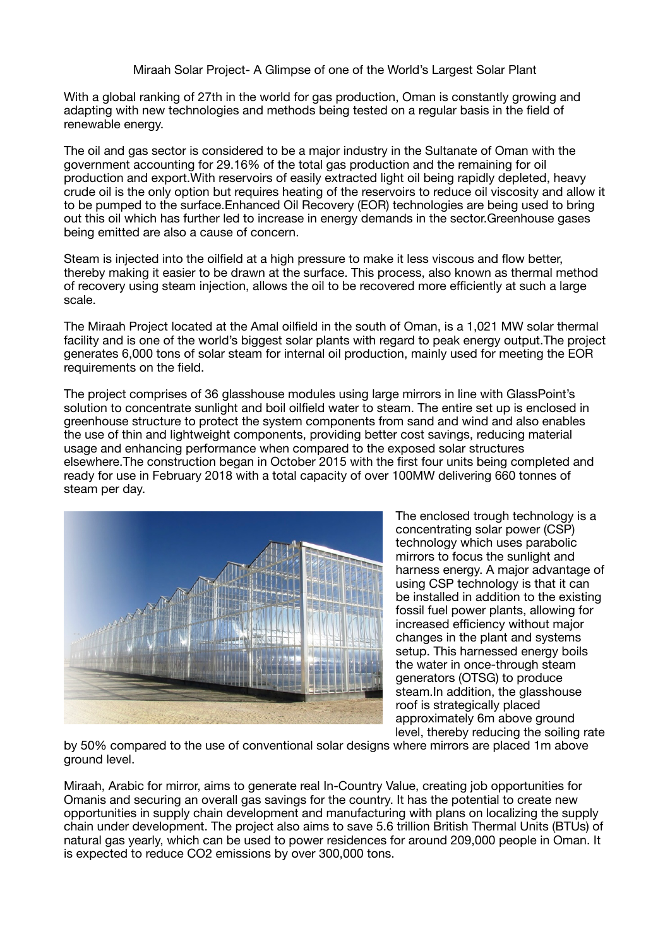Miraah Solar Project- A Glimpse of one of the World's Largest Solar Plant

With a global ranking of 27th in the world for gas production, Oman is constantly growing and adapting with new technologies and methods being tested on a regular basis in the field of renewable energy.

The oil and gas sector is considered to be a major industry in the Sultanate of Oman with the government accounting for 29.16% of the total gas production and the remaining for oil production and export.With reservoirs of easily extracted light oil being rapidly depleted, heavy crude oil is the only option but requires heating of the reservoirs to reduce oil viscosity and allow it to be pumped to the surface.Enhanced Oil Recovery (EOR) technologies are being used to bring out this oil which has further led to increase in energy demands in the sector.Greenhouse gases being emitted are also a cause of concern.

Steam is injected into the oilfield at a high pressure to make it less viscous and flow better, thereby making it easier to be drawn at the surface. This process, also known as thermal method of recovery using steam injection, allows the oil to be recovered more efficiently at such a large scale.

The Miraah Project located at the Amal oilfield in the south of Oman, is a 1,021 MW solar thermal facility and is one of the world's biggest solar plants with regard to peak energy output.The project generates 6,000 tons of solar steam for internal oil production, mainly used for meeting the EOR requirements on the field.

The project comprises of 36 glasshouse modules using large mirrors in line with GlassPoint's solution to concentrate sunlight and boil oilfield water to steam. The entire set up is enclosed in greenhouse structure to protect the system components from sand and wind and also enables the use of thin and lightweight components, providing better cost savings, reducing material usage and enhancing performance when compared to the exposed solar structures elsewhere.The construction began in October 2015 with the first four units being completed and ready for use in February 2018 with a total capacity of over 100MW delivering 660 tonnes of steam per day.



The enclosed trough technology is a concentrating solar power (CSP) technology which uses parabolic mirrors to focus the sunlight and harness energy. A major advantage of using CSP technology is that it can be installed in addition to the existing fossil fuel power plants, allowing for increased efficiency without major changes in the plant and systems setup. This harnessed energy boils the water in once-through steam generators (OTSG) to produce steam.In addition, the glasshouse roof is strategically placed approximately 6m above ground level, thereby reducing the soiling rate

by 50% compared to the use of conventional solar designs where mirrors are placed 1m above ground level.

Miraah, Arabic for mirror, aims to generate real In-Country Value, creating job opportunities for Omanis and securing an overall gas savings for the country. It has the potential to create new opportunities in supply chain development and manufacturing with plans on localizing the supply chain under development. The project also aims to save 5.6 trillion British Thermal Units (BTUs) of natural gas yearly, which can be used to power residences for around 209,000 people in Oman. It is expected to reduce CO2 emissions by over 300,000 tons.